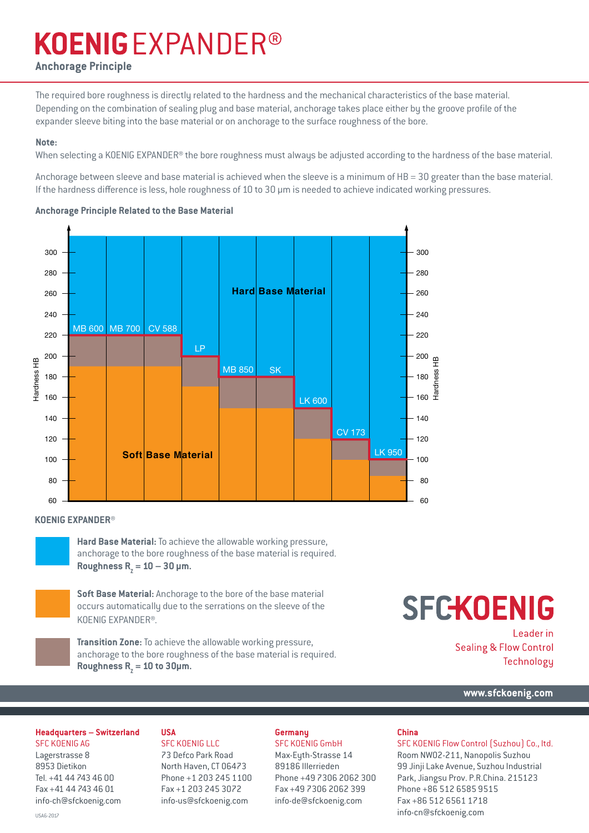# **KOENIGEXPANDER®**

### **Anchorage Principle**

The required bore roughness is directly related to the hardness and the mechanical characteristics of the base material. Depending on the combination of sealing plug and base material, anchorage takes place either by the groove profile of the expander sleeve biting into the base material or on anchorage to the surface roughness of the bore.

### **Note:**

When selecting a KOENIG EXPANDER® the bore roughness must always be adjusted according to the hardness of the base material.

Anchorage between sleeve and base material is achieved when the sleeve is a minimum of HB = 30 greater than the base material. If the hardness difference is less, hole roughness of 10 to 30 μm is needed to achieve indicated working pressures.

### **Anchorage Principle Related to the Base Material**



### **KOENIG EXPANDER®**

**Hard Base Material:** To achieve the allowable working pressure, anchorage to the bore roughness of the base material is required.  $\text{Roughness}$  R<sub>z</sub> = 10 – 30 µm.

**Soft Base Material:** Anchorage to the bore of the base material occurs automatically due to the serrations on the sleeve of the KOENIG EXPANDER®.



**Transition Zone:** To achieve the allowable working pressure, anchorage to the bore roughness of the base material is required.  $\text{Roughness}$   $R_{\text{z}} = 10$  to 30µm.

# **SFCKOENIG**

Leader in **Sealing & Flow Control** Technology

**www.sfckoenig.com**

### **Headquarters – Switzerland**

SFC KOENIG AG Lagerstrasse 8 8953 Dietikon Tel. +41 44 743 46 00 Fax +41 44 743 46 01 info-ch@sfckoenig.com

### **USA**

SFC KOENIG LLC 73 Defco Park Road North Haven, CT 06473 Phone +1 203 245 1100 Fax +1 203 245 3072 info-us@sfckoenig.com

### **Germany**

SFC KOENIG GmbH Max-Eyth-Strasse 14 89186 Illerrieden Phone +49 7306 2062 300 Fax +49 7306 2062 399 info-de@sfckoenig.com

### **China**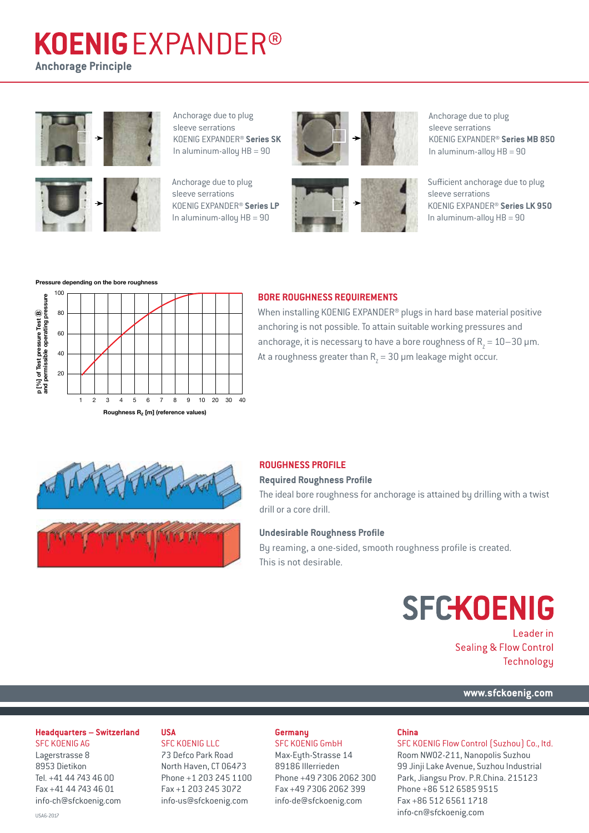# **KOENIGEXPANDER®**

**Anchorage Principle**





Anchorage due to plug sleeve serrations KOENIG EXPANDER® **Series SK** In aluminum-alloy HB = 90

Anchorage due to plug sleeve serrations KOENIG EXPANDER® **Series LP** In aluminum-alloy  $HB = 90$ 





Anchorage due to plug sleeve serrations KOENIG EXPANDER® **Series MB 850**  In aluminum-alloy HB = 90

Sufficient anchorage due to plug sleeve serrations KOENIG EXPANDER® **Series LK 950** In aluminum-alloy  $HB = 90$ 

#### **Pressure depending on the bore roughness**



### **BORE ROUGHNESS REQUIREMENTS**

When installing KOENIG EXPANDER® plugs in hard base material positive anchoring is not possible. To attain suitable working pressures and anchorage, it is necessary to have a bore roughness of  $R_z = 10-30$  µm. At a roughness greater than  $\rm R_{\rm Z}$  = 30 µm leakage might occur.



### **ROUGHNESS PROFILE**

#### **Required Roughness Profile**

The ideal bore roughness for anchorage is attained by drilling with a twist drill or a core drill.

### **Undesirable Roughness Profile**

By reaming, a one-sided, smooth roughness profile is created. This is not desirable.

# **SFCKOENIG**

Leader in **Sealing & Flow Control** Technology

**[www.sfckoenig.com](http://www.sfckoenig.com)**

#### **Headquarters – Switzerland**

SFC KOENIG AG Lagerstrasse 8 8953 Dietikon Tel. +41 44 743 46 00 Fax +41 44 743 46 01 info-ch@sfckoenig.com

### **USA**

SFC KOENIG LLC 73 Defco Park Road North Haven, CT 06473 Phone +1 203 245 1100 Fax +1 203 245 3072 info-us@sfckoenig.com

### **Germany**

SFC KOENIG GmbH Max-Eyth-Strasse 14 89186 Illerrieden Phone +49 7306 2062 300 Fax +49 7306 2062 399 info-de@sfckoenig.com

#### **China**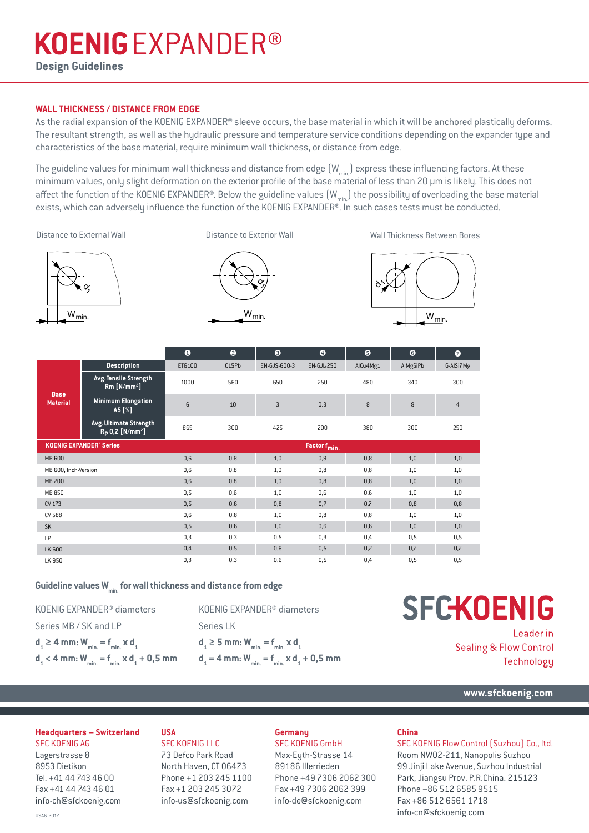# **KOENIGEXPANDER®**

**Design Guidelines**

### **WALL THICKNESS / DISTANCE FROM EDGE**

As the radial expansion of the KOENIG EXPANDER® sleeve occurs, the base material in which it will be anchored plastically deforms. The resultant strength, as well as the hydraulic pressure and temperature service conditions depending on the expander type and characteristics of the base material, require minimum wall thickness, or distance from edge.

The guideline values for minimum wall thickness and distance from edge  $(W_{min})$  express these influencing factors. At these minimum values, only slight deformation on the exterior profile of the base material of less than 20 μm is likely. This does not affect the function of the KOENIG EXPANDER®. Below the guideline values  $(W_{min})$  the possibility of overloading the base material exists, which can adversely influence the function of the KOENIG EXPANDER®. In such cases tests must be conducted.

Distance to External Wall

Distance to Exterior Wall

Wall Thickness Between Bores







|                                           |                                                                | $\bullet$                | ❷     | ❸              | $\bullet$         | $\bullet$ | $\bullet$ | $\bullet$      |  |  |
|-------------------------------------------|----------------------------------------------------------------|--------------------------|-------|----------------|-------------------|-----------|-----------|----------------|--|--|
| <b>Base</b><br><b>Material</b>            | <b>Description</b>                                             | ETG100                   | C15Pb | EN-GJS-600-3   | <b>EN-GJL-250</b> | AlCu4Mg1  | AIMgSiPb  | G-AISi7Mg      |  |  |
|                                           | Avg. Tensile Strength<br>$Rm$ [N/mm <sup>2</sup> ]             | 1000                     | 560   | 650            | 250               | 480       | 340       | 300            |  |  |
|                                           | <b>Minimum Elongation</b><br>A5 [%]                            | 6                        | 10    | $\overline{3}$ | 0.3               | 8         | 8         | $\overline{4}$ |  |  |
|                                           | Avg. Ultimate Strength<br>$R_{\rm p}$ 0,2 [N/mm <sup>2</sup> ] | 865                      | 300   | 425            | 200               | 380       | 300       | 250            |  |  |
| <b>KOENIG EXPANDER<sup>®</sup> Series</b> |                                                                | Factor f <sub>min.</sub> |       |                |                   |           |           |                |  |  |
| <b>MB 600</b>                             |                                                                | 0,6                      | 0,8   | 1,0            | 0,8               | 0,8       | 1,0       | 1,0            |  |  |
| MB 600, Inch-Version                      |                                                                | 0,6                      | 0,8   | 1,0            | 0,8               | 0,8       | 1,0       | 1,0            |  |  |
| <b>MB 700</b>                             |                                                                | 0,6                      | 0,8   | 1,0            | 0,8               | 0,8       | 1,0       | 1,0            |  |  |
| MB 850                                    |                                                                | 0,5                      | 0,6   | 1,0            | 0,6               | 0,6       | 1,0       | 1,0            |  |  |
| CV 173                                    |                                                                | 0,5                      | 0,6   | 0,8            | 0,7               | 0.7       | 0,8       | 0,8            |  |  |
| <b>CV 588</b>                             |                                                                | 0,6                      | 0,8   | 1,0            | 0,8               | 0,8       | 1,0       | 1,0            |  |  |
| <b>SK</b>                                 |                                                                | 0,5                      | 0,6   | 1,0            | 0,6               | 0,6       | 1,0       | 1,0            |  |  |
| LP                                        |                                                                | 0,3                      | 0,3   | 0,5            | 0,3               | 0,4       | 0,5       | 0, 5           |  |  |
| LK 600                                    |                                                                | 0,4                      | 0,5   | 0,8            | 0, 5              | 0,7       | 0,7       | 0,7            |  |  |
| LK 950                                    |                                                                | 0,3                      | 0,3   | 0,6            | 0,5               | 0,4       | 0,5       | 0,5            |  |  |

Guideline values W<sub>min</sub> for wall thickness and distance from edge

KOENIG EXPANDER® diameters Series MB / SK and LP  $d_1 \ge 4$  mm:  $W_{min.} = f_{min.} \times d_1$ 

 $d_1$  < 4 mm:  $W_{min.} = f_{min.} \times d_1 + 0,5$  mm

KOENIG EXPANDER® diameters Series LK **d1**

$$
\begin{aligned} \mathbf{d}_{1} &\geq 5 \text{ mm} \colon W_{\text{min.}} = \mathbf{f}_{\text{min.}} \times \mathbf{d}_{1} \\ \mathbf{d}_{1} & = 4 \text{ mm} \colon W_{\text{min.}} = \mathbf{f}_{\text{min.}} \times \mathbf{d}_{1} + 0, 5 \text{ mm} \end{aligned}
$$

# **SFCKOENIG**

Leader in **Sealing & Flow Control** Technology

**www.sfckoenig.com**

### **Headquarters – Switzerland**

SFC KOENIG AG Lagerstrasse 8 8953 Dietikon Tel. +41 44 743 46 00 Fax +41 44 743 46 01 info-ch@sfckoenig.com

### **USA**

SFC KOENIG LLC 73 Defco Park Road North Haven, CT 06473 Phone +1 203 245 1100 Fax +1 203 245 3072 info-us@sfckoenig.com

### **Germany**

SFC KOENIG GmbH Max-Eyth-Strasse 14 89186 Illerrieden Phone +49 7306 2062 300 Fax +49 7306 2062 399 info-de@sfckoenig.com

### **China**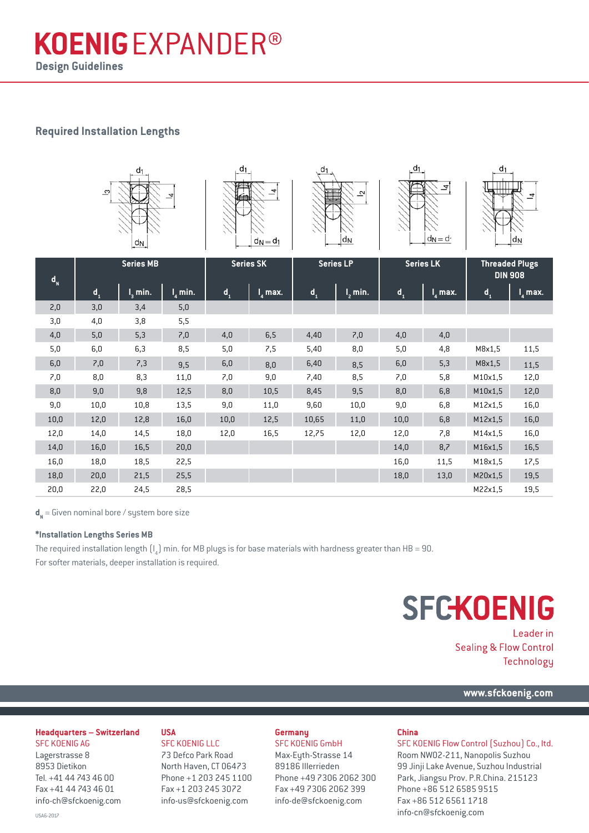## **KOENIGEXPANDER® Design Guidelines**

## **Required Installation Lengths**



| $\mathbf{d}_{\mathbf{N}}$ | <b>Series MB</b>          |           | <b>Series SK</b>      |                           | <b>Series LP</b>   |                         | <b>Series LK</b> |                         | <b>Threaded Plugs</b><br><b>DIN 908</b> |                         |                                 |
|---------------------------|---------------------------|-----------|-----------------------|---------------------------|--------------------|-------------------------|------------------|-------------------------|-----------------------------------------|-------------------------|---------------------------------|
|                           | $\mathbf{d}_{\mathbf{q}}$ | $I3$ min. | $\overline{I}_4$ min. | $\mathbf{d}_{\mathbf{q}}$ | $I_{\lambda}$ max. | $\mathbf{d}_\mathbf{a}$ | $I2$ min.        | $\mathbf{d}_\mathbf{a}$ | $I_{\scriptscriptstyle{A}}$ max.        | $\mathbf{d}_\mathbf{a}$ | $I_{\scriptscriptstyle A}$ max. |
| 2,0                       | 3,0                       | 3,4       | 5,0                   |                           |                    |                         |                  |                         |                                         |                         |                                 |
| 3,0                       | 4,0                       | 3,8       | 5,5                   |                           |                    |                         |                  |                         |                                         |                         |                                 |
| 4,0                       | 5,0                       | 5,3       | 7,0                   | 4,0                       | 6,5                | 4,40                    | 7,0              | 4,0                     | 4,0                                     |                         |                                 |
| 5,0                       | 6,0                       | 6,3       | 8,5                   | 5,0                       | 7,5                | 5,40                    | 8,0              | 5,0                     | 4,8                                     | M8x1,5                  | 11,5                            |
| 6,0                       | 7,0                       | 7,3       | 9,5                   | 6,0                       | 8,0                | 6,40                    | 8,5              | 6,0                     | 5,3                                     | M8x1,5                  | 11,5                            |
| 7,0                       | 8,0                       | 8,3       | 11,0                  | 7,0                       | 9,0                | 7,40                    | 8,5              | 7,0                     | 5,8                                     | M10x1,5                 | 12,0                            |
| 8,0                       | 9,0                       | 9,8       | 12,5                  | 8,0                       | 10,5               | 8,45                    | 9,5              | 8,0                     | 6,8                                     | M10x1,5                 | 12,0                            |
| 9,0                       | 10,0                      | 10,8      | 13,5                  | 9,0                       | 11,0               | 9,60                    | 10,0             | 9,0                     | 6,8                                     | M12x1,5                 | 16,0                            |
| 10,0                      | 12,0                      | 12,8      | 16,0                  | 10,0                      | 12,5               | 10,65                   | 11,0             | 10,0                    | 6,8                                     | M12x1,5                 | 16,0                            |
| 12,0                      | 14,0                      | 14,5      | 18,0                  | 12,0                      | 16,5               | 12,75                   | 12,0             | 12,0                    | 7,8                                     | M14x1,5                 | 16,0                            |
| 14,0                      | 16,0                      | 16,5      | 20,0                  |                           |                    |                         |                  | 14,0                    | 8,7                                     | M16x1,5                 | 16,5                            |
| 16,0                      | 18,0                      | 18,5      | 22,5                  |                           |                    |                         |                  | 16,0                    | 11,5                                    | M18x1,5                 | 17,5                            |
| 18,0                      | 20,0                      | 21,5      | 25,5                  |                           |                    |                         |                  | 18,0                    | 13,0                                    | M20x1,5                 | 19,5                            |
| 20,0                      | 22,0                      | 24,5      | 28,5                  |                           |                    |                         |                  |                         |                                         | M22x1,5                 | 19,5                            |

 $\textbf{d}^{}_{\sf N}$  = Given nominal bore / system bore size

### **\*Installation Lengths Series MB**

The required installation length  $\mathfrak{[l}_4$ ) min. for MB plugs is for base materials with hardness greater than HB = 90. For softer materials, deeper installation is required.

# **SFCKOENIG**

Leader in **Sealing & Flow Control** Technology

**[www.sfckoenig.com](http://www.sfckoenig.com)**

### **Headquarters – Switzerland**

SFC KOENIG AG Lagerstrasse 8 8953 Dietikon Tel. +41 44 743 46 00 Fax +41 44 743 46 01 info-ch@sfckoenig.com

### **USA**

SFC KOENIG LLC 73 Defco Park Road North Haven, CT 06473 Phone +1 203 245 1100 Fax +1 203 245 3072 info-us@sfckoenig.com

### **Germany**

SFC KOENIG GmbH Max-Eyth-Strasse 14 89186 Illerrieden Phone +49 7306 2062 300 Fax +49 7306 2062 399 info-de@sfckoenig.com

### **China**